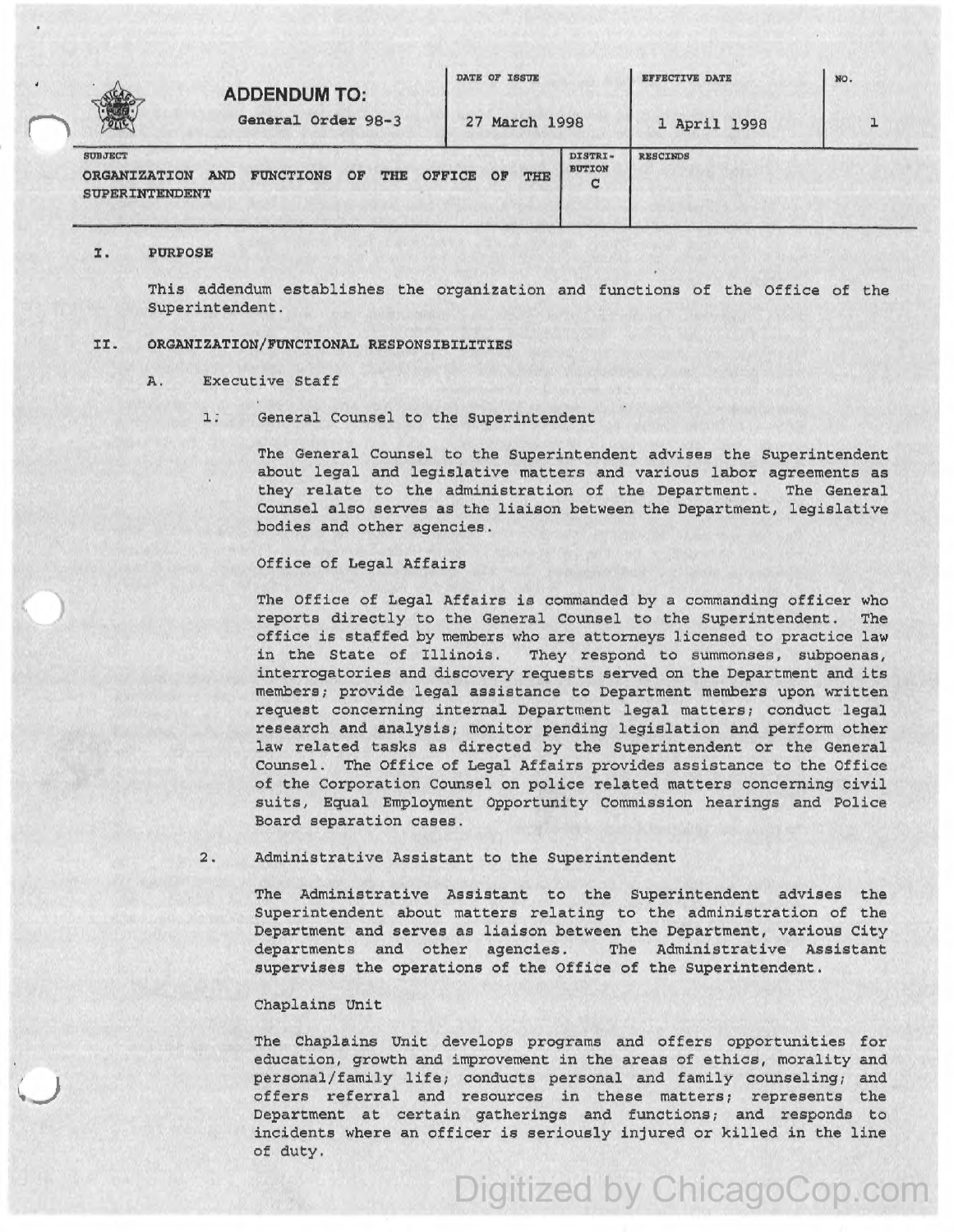|                                                                | <b>ADDENDUM TO:</b>            |                  |               | DATE OF ISSUE |                               | <b>EFFECTIVE DATE</b> | NO. |
|----------------------------------------------------------------|--------------------------------|------------------|---------------|---------------|-------------------------------|-----------------------|-----|
| POLIC                                                          | General Order 98-3             |                  | 27 March 1998 |               | 1 April 1998                  |                       |     |
| <b>SUBJECT</b><br><b>ORGANIZATION</b><br><b>SUPERINTENDENT</b> | <b>AND</b><br><b>FUNCTIONS</b> | OF<br><b>THE</b> | <b>OFFICE</b> | OP<br>THE     | DISTRI-<br><b>BUTION</b><br>c | <b>RESCINDS</b>       |     |

## I. PURPOSE

This addendum establishes the organization and functions of the Office of the Superintendent.

### II. ORGANIZATION/FUNCTIONAL RESPONSIBILITIES

- A. Executive Staff
	- 1. General Counsel to the Superintendent

The General Counsel to the Superintendent advises the Superintendent about legal and legislative matters and various labor agreements as they relate to the administration of the Department. The General Counsel also serves as the liaison between the Department, legislative bodies and other agencies.

# Office of Legal Affairs

The Office of Legal Affairs is commanded by a commanding officer who reports directly to the General Counsel to the Superintendent. The office is staffed by members who are attorneys licensed to practice law<br>in the State of Illinois. They respond to summonses, subpoenas, They respond to summonses, subpoenas, interrogatories and discovery requests served on the Department and its members; provide legal assistance to Department members upon written request concerning internal Department legal matters; conduct legal research and analysis; monitor pending legislation and perform other law related tasks as directed by the Superintendent or the General Counsel. The Office of Legal Affairs provides assistance to the Office of the Corporation Counsel on police related matters concerning civil suits, Equal Employment Opportunity Commission hearings and Police Board separation cases.

### 2. Administrative Assistant to the Superintendent

The Administrative Assistant to the Superintendent advises the Superintendent about matters relating to the administration of the Department and serves as liaison between the Department, various City departments and other agencies. The Administrative Assistant supervises the operations of the Office of the Superintendent.

#### Chaplains Unit

The Chaplains Unit develops programs and offers opportunities for education, growth and improvement in the areas of ethics, morality and personal/family life; conducts personal and family counseling; and offers referral and resources in these matters; represents the Department at certain gatherings and functions; and responds to incidents where an officer is seriously injured or killed in the line of duty.

Digitized by ChicagoCop.com